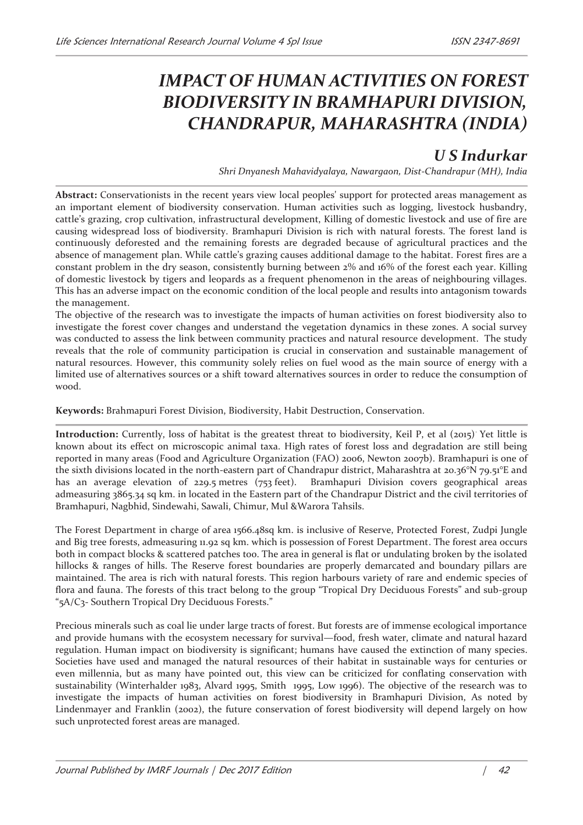## *IMPACT OF HUMAN ACTIVITIES ON FOREST BIODIVERSITY IN BRAMHAPURI DIVISION, CHANDRAPUR, MAHARASHTRA (INDIA)*

## *U S Indurkar*

*Shri Dnyanesh Mahavidyalaya, Nawargaon, Dist-Chandrapur (MH), India* 

**Abstract:** Conservationists in the recent years view local peoples' support for protected areas management as an important element of biodiversity conservation. Human activities such as logging, livestock husbandry, cattle's grazing, crop cultivation, infrastructural development, Killing of domestic livestock and use of fire are causing widespread loss of biodiversity. Bramhapuri Division is rich with natural forests. The forest land is continuously deforested and the remaining forests are degraded because of agricultural practices and the absence of management plan. While cattle's grazing causes additional damage to the habitat. Forest fires are a constant problem in the dry season, consistently burning between 2% and 16% of the forest each year. Killing of domestic livestock by tigers and leopards as a frequent phenomenon in the areas of neighbouring villages. This has an adverse impact on the economic condition of the local people and results into antagonism towards the management.

The objective of the research was to investigate the impacts of human activities on forest biodiversity also to investigate the forest cover changes and understand the vegetation dynamics in these zones. A social survey was conducted to assess the link between community practices and natural resource development. The study reveals that the role of community participation is crucial in conservation and sustainable management of natural resources. However, this community solely relies on fuel wood as the main source of energy with a limited use of alternatives sources or a shift toward alternatives sources in order to reduce the consumption of wood.

**Keywords:** Brahmapuri Forest Division, Biodiversity, Habit Destruction, Conservation.

**Introduction:** Currently, loss of habitat is the greatest threat to biodiversity, Keil P, et al (2015). Yet little is known about its effect on microscopic animal taxa. High rates of forest loss and degradation are still being reported in many areas (Food and Agriculture Organization (FAO) 2006, Newton 2007b). Bramhapuri is one of the sixth divisions located in the north-eastern part of Chandrapur district, Maharashtra at 20.36°N 79.51°E and has an average elevation of 229.5 metres (753 feet). Bramhapuri Division covers geographical areas admeasuring 3865.34 sq km. in located in the Eastern part of the Chandrapur District and the civil territories of Bramhapuri, Nagbhid, Sindewahi, Sawali, Chimur, Mul &Warora Tahsils.

The Forest Department in charge of area 1566.48sq km. is inclusive of Reserve, Protected Forest, Zudpi Jungle and Big tree forests, admeasuring 11.92 sq km. which is possession of Forest Department. The forest area occurs both in compact blocks & scattered patches too. The area in general is flat or undulating broken by the isolated hillocks & ranges of hills. The Reserve forest boundaries are properly demarcated and boundary pillars are maintained. The area is rich with natural forests. This region harbours variety of rare and endemic species of flora and fauna. The forests of this tract belong to the group "Tropical Dry Deciduous Forests" and sub-group "5A/C3- Southern Tropical Dry Deciduous Forests."

Precious minerals such as coal lie under large tracts of forest. But forests are of immense ecological importance and provide humans with the ecosystem necessary for survival—food, fresh water, climate and natural hazard regulation. Human impact on biodiversity is significant; humans have caused the extinction of many species. Societies have used and managed the natural resources of their habitat in sustainable ways for centuries or even millennia, but as many have pointed out, this view can be criticized for conflating conservation with sustainability (Winterhalder 1983, Alvard 1995, Smith 1995, Low 1996). The objective of the research was to investigate the impacts of human activities on forest biodiversity in Bramhapuri Division, As noted by Lindenmayer and Franklin (2002), the future conservation of forest biodiversity will depend largely on how such unprotected forest areas are managed.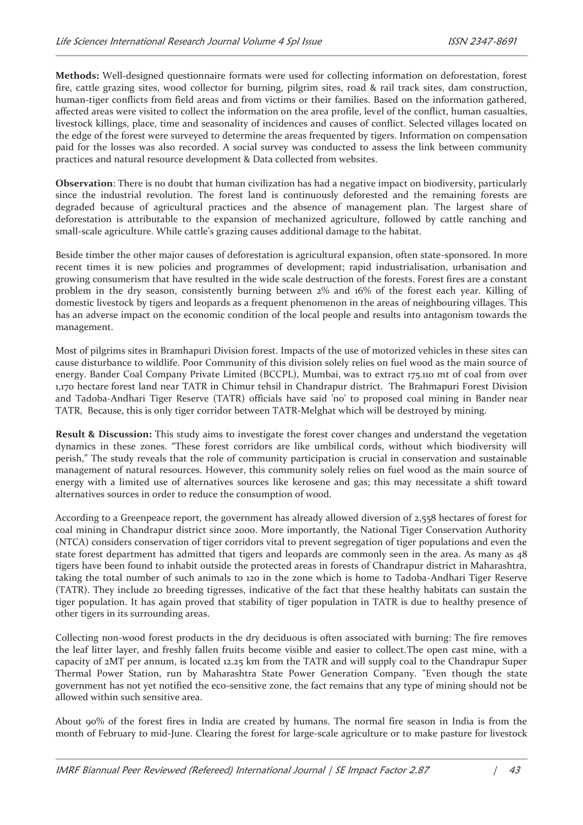**Methods:** Well-designed questionnaire formats were used for collecting information on deforestation, forest fire, cattle grazing sites, wood collector for burning, pilgrim sites, road & rail track sites, dam construction, human-tiger conflicts from field areas and from victims or their families. Based on the information gathered, affected areas were visited to collect the information on the area profile, level of the conflict, human casualties, livestock killings, place, time and seasonality of incidences and causes of conflict. Selected villages located on the edge of the forest were surveyed to determine the areas frequented by tigers. Information on compensation paid for the losses was also recorded. A social survey was conducted to assess the link between community practices and natural resource development & Data collected from websites.

**Observation**: There is no doubt that human civilization has had a negative impact on biodiversity, particularly since the industrial revolution. The forest land is continuously deforested and the remaining forests are degraded because of agricultural practices and the absence of management plan. The largest share of deforestation is attributable to the expansion of mechanized agriculture, followed by cattle ranching and small-scale agriculture. While cattle's grazing causes additional damage to the habitat.

Beside timber the other major causes of deforestation is agricultural expansion, often state-sponsored. In more recent times it is new policies and programmes of development; rapid industrialisation, urbanisation and growing consumerism that have resulted in the wide scale destruction of the forests. Forest fires are a constant problem in the dry season, consistently burning between 2% and 16% of the forest each year. Killing of domestic livestock by tigers and leopards as a frequent phenomenon in the areas of neighbouring villages. This has an adverse impact on the economic condition of the local people and results into antagonism towards the management.

Most of pilgrims sites in Bramhapuri Division forest. Impacts of the use of motorized vehicles in these sites can cause disturbance to wildlife. Poor Community of this division solely relies on fuel wood as the main source of energy. Bander Coal Company Private Limited (BCCPL), Mumbai, was to extract 175.110 mt of coal from over 1,170 hectare forest land near TATR in Chimur tehsil in Chandrapur district. The Brahmapuri Forest Division and Tadoba-Andhari Tiger Reserve (TATR) officials have said 'no' to proposed coal mining in Bander near TATR, Because, this is only tiger corridor between TATR-Melghat which will be destroyed by mining.

**Result & Discussion:** This study aims to investigate the forest cover changes and understand the vegetation dynamics in these zones. "These forest corridors are like umbilical cords, without which biodiversity will perish," The study reveals that the role of community participation is crucial in conservation and sustainable management of natural resources. However, this community solely relies on fuel wood as the main source of energy with a limited use of alternatives sources like kerosene and gas; this may necessitate a shift toward alternatives sources in order to reduce the consumption of wood.

According to a Greenpeace report, the government has already allowed diversion of 2,558 hectares of forest for coal mining in Chandrapur district since 2000. More importantly, the National Tiger Conservation Authority (NTCA) considers conservation of tiger corridors vital to prevent segregation of tiger populations and even the state forest department has admitted that tigers and leopards are commonly seen in the area. As many as 48 tigers have been found to inhabit outside the protected areas in forests of Chandrapur district in Maharashtra, taking the total number of such animals to 120 in the zone which is home to Tadoba-Andhari Tiger Reserve (TATR). They include 20 breeding tigresses, indicative of the fact that these healthy habitats can sustain the tiger population. It has again proved that stability of tiger population in TATR is due to healthy presence of other tigers in its surrounding areas.

Collecting non-wood forest products in the dry deciduous is often associated with burning: The fire removes the leaf litter layer, and freshly fallen fruits become visible and easier to collect.The open cast mine, with a capacity of 2MT per annum, is located 12.25 km from the TATR and will supply coal to the Chandrapur Super Thermal Power Station, run by Maharashtra State Power Generation Company. "Even though the state government has not yet notified the eco-sensitive zone, the fact remains that any type of mining should not be allowed within such sensitive area.

About 90% of the forest fires in India are created by humans. The normal fire season in India is from the month of February to mid-June. Clearing the forest for large-scale agriculture or to make pasture for livestock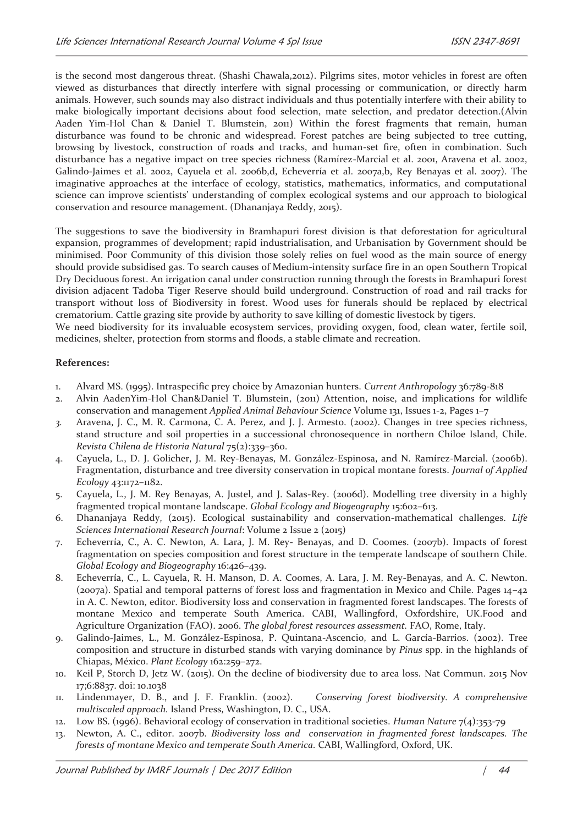is the second most dangerous threat. (Shashi Chawala,2012). Pilgrims sites, motor vehicles in forest are often viewed as disturbances that directly interfere with signal processing or communication, or directly harm animals. However, such sounds may also distract individuals and thus potentially interfere with their ability to make biologically important decisions about food selection, mate selection, and predator detection.(Alvin Aaden Yim-Hol Chan & Daniel T. Blumstein, 2011) Within the forest fragments that remain, human disturbance was found to be chronic and widespread. Forest patches are being subjected to tree cutting, browsing by livestock, construction of roads and tracks, and human-set fire, often in combination. Such disturbance has a negative impact on tree species richness (Ramírez-Marcial et al. 2001, Aravena et al. 2002, Galindo-Jaimes et al. 2002, Cayuela et al. 2006b,d, Echeverría et al. 2007a,b, Rey Benayas et al. 2007). The imaginative approaches at the interface of ecology, statistics, mathematics, informatics, and computational science can improve scientists' understanding of complex ecological systems and our approach to biological conservation and resource management. (Dhananjaya Reddy, 2015).

The suggestions to save the biodiversity in Bramhapuri forest division is that deforestation for agricultural expansion, programmes of development; rapid industrialisation, and Urbanisation by Government should be minimised. Poor Community of this division those solely relies on fuel wood as the main source of energy should provide subsidised gas. To search causes of Medium-intensity surface fire in an open Southern Tropical Dry Deciduous forest. An irrigation canal under construction running through the forests in Bramhapuri forest division adjacent Tadoba Tiger Reserve should build underground. Construction of road and rail tracks for transport without loss of Biodiversity in forest. Wood uses for funerals should be replaced by electrical crematorium. Cattle grazing site provide by authority to save killing of domestic livestock by tigers. We need biodiversity for its invaluable ecosystem services, providing oxygen, food, clean water, fertile soil, medicines, shelter, protection from storms and floods, a stable climate and recreation.

## **References:**

- 1. Alvard MS. (1995). Intraspecific prey choice by Amazonian hunters. *Current Anthropology* 36:789-818
- 2. Alvin AadenYim-Hol Chan&Daniel T. Blumstein, (2011) Attention, noise, and implications for wildlife conservation and management *Applied Animal Behaviour Science* Volume 131, Issues 1-2, Pages 1–7
- *3.* Aravena, J. C., M. R. Carmona, C. A. Perez, and J. J. Armesto. (2002). Changes in tree species richness, stand structure and soil properties in a successional chronosequence in northern Chiloe Island, Chile. *Revista Chilena de Historia Natural* 75(2):339–360.
- 4. Cayuela, L., D. J. Golicher, J. M. Rey-Benayas, M. González-Espinosa, and N. Ramírez-Marcial. (2006b). Fragmentation, disturbance and tree diversity conservation in tropical montane forests. *Journal of Applied Ecology* 43:1172–1182.
- 5. Cayuela, L., J. M. Rey Benayas, A. Justel, and J. Salas-Rey. (2006d). Modelling tree diversity in a highly fragmented tropical montane landscape. *Global Ecology and Biogeography* 15:602–613.
- 6. Dhananjaya Reddy, (2015). Ecological sustainability and conservation-mathematical challenges. *Life Sciences International Research Journal*: Volume 2 Issue 2 (2015)
- 7. Echeverría, C., A. C. Newton, A. Lara, J. M. Rey- Benayas, and D. Coomes. (2007b). Impacts of forest fragmentation on species composition and forest structure in the temperate landscape of southern Chile. *Global Ecology and Biogeography* 16:426–439.
- 8. Echeverría, C., L. Cayuela, R. H. Manson, D. A. Coomes, A. Lara, J. M. Rey-Benayas, and A. C. Newton. (2007a). Spatial and temporal patterns of forest loss and fragmentation in Mexico and Chile. Pages 14–42 in A. C. Newton, editor. Biodiversity loss and conservation in fragmented forest landscapes. The forests of montane Mexico and temperate South America. CABI, Wallingford, Oxfordshire, UK.Food and Agriculture Organization (FAO). 2006. *The global forest resources assessment.* FAO, Rome, Italy.
- 9. Galindo-Jaimes, L., M. González-Espinosa, P. Quintana-Ascencio, and L. García-Barrios. (2002). Tree composition and structure in disturbed stands with varying dominance by *Pinus* spp. in the highlands of Chiapas, México. *Plant Ecology* 162:259–272.
- 10. Keil P, Storch D, Jetz W. (2015). On the decline of biodiversity due to area loss. Nat Commun. 2015 Nov 17;6:8837. doi: 10.1038
- 11. Lindenmayer, D. B., and J. F. Franklin. (2002). *Conserving forest biodiversity. A comprehensive multiscaled approach.* Island Press, Washington, D. C., USA.
- 12. Low BS. (1996). Behavioral ecology of conservation in traditional societies. *Human Nature* 7(4):353-79
- 13. Newton, A. C., editor. 2007b. *Biodiversity loss and conservation in fragmented forest landscapes. The forests of montane Mexico and temperate South America.* CABI, Wallingford, Oxford, UK.